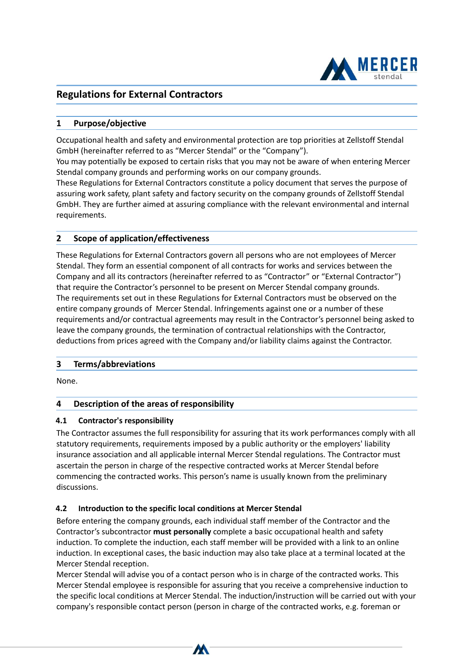

# **Regulations for External Contractors**

## **1 Purpose/objective**

Occupational health and safety and environmental protection are top priorities at Zellstoff Stendal GmbH (hereinafter referred to as "Mercer Stendal" or the "Company").

You may potentially be exposed to certain risks that you may not be aware of when entering Mercer Stendal company grounds and performing works on our company grounds.

These Regulations for External Contractors constitute a policy document that serves the purpose of assuring work safety, plant safety and factory security on the company grounds of Zellstoff Stendal GmbH. They are further aimed at assuring compliance with the relevant environmental and internal requirements.

## **2 Scope of application/effectiveness**

These Regulations for External Contractors govern all persons who are not employees of Mercer Stendal. They form an essential component of all contracts for works and services between the Company and all its contractors (hereinafter referred to as "Contractor" or "External Contractor") that require the Contractor's personnel to be present on Mercer Stendal company grounds. The requirements set out in these Regulations for External Contractors must be observed on the entire company grounds of Mercer Stendal. Infringements against one or a number of these requirements and/or contractual agreements may result in the Contractor's personnel being asked to leave the company grounds, the termination of contractual relationships with the Contractor, deductions from prices agreed with the Company and/or liability claims against the Contractor.

### **3 Terms/abbreviations**

None.

## **4 Description of the areas of responsibility**

### **4.1 Contractor's responsibility**

<u>Page 1 of 12 of 12 of 12 of 12 of 12 of 12 of 12 of 12 of 12 of 12 of 12 of 12 of 12 of 12 of 12 of 12 of 12 o</u>

The Contractor assumes the full responsibility for assuring that its work performances comply with all statutory requirements, requirements imposed by a public authority or the employers' liability insurance association and all applicable internal Mercer Stendal regulations. The Contractor must ascertain the person in charge of the respective contracted works at Mercer Stendal before commencing the contracted works. This person's name is usually known from the preliminary discussions.

## **4.2 Introduction to the specific local conditions at Mercer Stendal**

Before entering the company grounds, each individual staff member of the Contractor and the Contractor's subcontractor **must personally** complete a basic occupational health and safety induction. To complete the induction, each staff member will be provided with a link to an online induction. In exceptional cases, the basic induction may also take place at a terminal located at the Mercer Stendal reception.

Mercer Stendal will advise you of a contact person who is in charge of the contracted works. This Mercer Stendal employee is responsible for assuring that you receive a comprehensive induction to the specific local conditions at Mercer Stendal. The induction/instruction will be carried out with your company's responsible contact person (person in charge of the contracted works, e.g. foreman or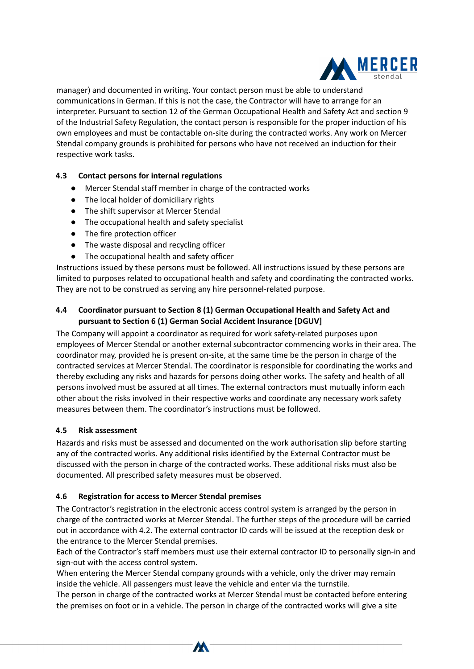

manager) and documented in writing. Your contact person must be able to understand communications in German. If this is not the case, the Contractor will have to arrange for an interpreter. Pursuant to section 12 of the German Occupational Health and Safety Act and section 9 of the Industrial Safety Regulation, the contact person is responsible for the proper induction of his own employees and must be contactable on-site during the contracted works. Any work on Mercer Stendal company grounds is prohibited for persons who have not received an induction for their respective work tasks.

### **4.3 Contact persons for internal regulations**

- Mercer Stendal staff member in charge of the contracted works
- The local holder of domiciliary rights
- The shift supervisor at Mercer Stendal
- The occupational health and safety specialist
- The fire protection officer
- The waste disposal and recycling officer
- The occupational health and safety officer

Instructions issued by these persons must be followed. All instructions issued by these persons are limited to purposes related to occupational health and safety and coordinating the contracted works. They are not to be construed as serving any hire personnel-related purpose.

## **4.4 Coordinator pursuant to Section 8 (1) German Occupational Health and Safety Act and pursuant to Section 6 (1) German Social Accident Insurance [DGUV]**

The Company will appoint a coordinator as required for work safety-related purposes upon employees of Mercer Stendal or another external subcontractor commencing works in their area. The coordinator may, provided he is present on-site, at the same time be the person in charge of the contracted services at Mercer Stendal. The coordinator is responsible for coordinating the works and thereby excluding any risks and hazards for persons doing other works. The safety and health of all persons involved must be assured at all times. The external contractors must mutually inform each other about the risks involved in their respective works and coordinate any necessary work safety measures between them. The coordinator's instructions must be followed.

### **4.5 Risk assessment**

<u>Page 2 of 12 of 12 of 12 of 12 of</u>

Hazards and risks must be assessed and documented on the work authorisation slip before starting any of the contracted works. Any additional risks identified by the External Contractor must be discussed with the person in charge of the contracted works. These additional risks must also be documented. All prescribed safety measures must be observed.

### **4.6 Registration for access to Mercer Stendal premises**

The Contractor's registration in the electronic access control system is arranged by the person in charge of the contracted works at Mercer Stendal. The further steps of the procedure will be carried out in accordance with 4.2. The external contractor ID cards will be issued at the reception desk or the entrance to the Mercer Stendal premises.

Each of the Contractor's staff members must use their external contractor ID to personally sign-in and sign-out with the access control system.

When entering the Mercer Stendal company grounds with a vehicle, only the driver may remain inside the vehicle. All passengers must leave the vehicle and enter via the turnstile.

The person in charge of the contracted works at Mercer Stendal must be contacted before entering the premises on foot or in a vehicle. The person in charge of the contracted works will give a site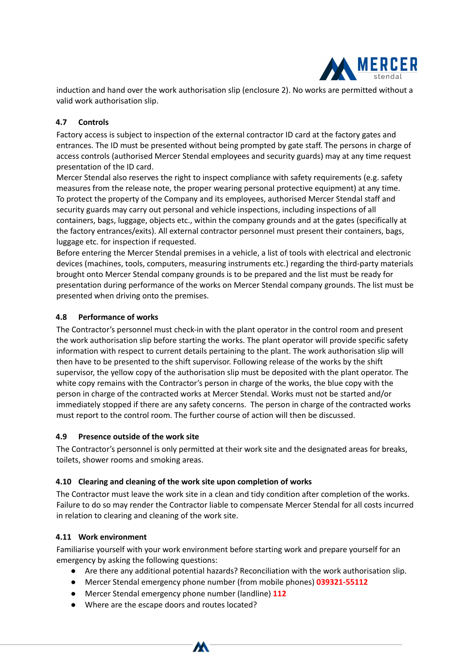

induction and hand over the work authorisation slip (enclosure 2). No works are permitted without a valid work authorisation slip.

## **4.7 Controls**

Factory access is subject to inspection of the external contractor ID card at the factory gates and entrances. The ID must be presented without being prompted by gate staff. The persons in charge of access controls (authorised Mercer Stendal employees and security guards) may at any time request presentation of the ID card.

Mercer Stendal also reserves the right to inspect compliance with safety requirements (e.g. safety measures from the release note, the proper wearing personal protective equipment) at any time. To protect the property of the Company and its employees, authorised Mercer Stendal staff and security guards may carry out personal and vehicle inspections, including inspections of all containers, bags, luggage, objects etc., within the company grounds and at the gates (specifically at the factory entrances/exits). All external contractor personnel must present their containers, bags, luggage etc. for inspection if requested.

Before entering the Mercer Stendal premises in a vehicle, a list of tools with electrical and electronic devices (machines, tools, computers, measuring instruments etc.) regarding the third-party materials brought onto Mercer Stendal company grounds is to be prepared and the list must be ready for presentation during performance of the works on Mercer Stendal company grounds. The list must be presented when driving onto the premises.

## **4.8 Performance of works**

The Contractor's personnel must check-in with the plant operator in the control room and present the work authorisation slip before starting the works. The plant operator will provide specific safety information with respect to current details pertaining to the plant. The work authorisation slip will then have to be presented to the shift supervisor. Following release of the works by the shift supervisor, the yellow copy of the authorisation slip must be deposited with the plant operator. The white copy remains with the Contractor's person in charge of the works, the blue copy with the person in charge of the contracted works at Mercer Stendal. Works must not be started and/or immediately stopped if there are any safety concerns. The person in charge of the contracted works must report to the control room. The further course of action will then be discussed.

## **4.9 Presence outside of the work site**

The Contractor's personnel is only permitted at their work site and the designated areas for breaks, toilets, shower rooms and smoking areas.

## **4.10 Clearing and cleaning of the work site upon completion of works**

The Contractor must leave the work site in a clean and tidy condition after completion of the works. Failure to do so may render the Contractor liable to compensate Mercer Stendal for all costs incurred in relation to clearing and cleaning of the work site.

## **4.11 Work environment**

<u>Page 3 of 12 of 12 of 12 of 12 of 12 of 12 of 12 of 12 of 12 of 12 of 12 of 12 of 12</u>

Familiarise yourself with your work environment before starting work and prepare yourself for an emergency by asking the following questions:

- Are there any additional potential hazards? Reconciliation with the work authorisation slip.
- Mercer Stendal emergency phone number (from mobile phones) **039321-55112**
- Mercer Stendal emergency phone number (landline) **112**
- Where are the escape doors and routes located?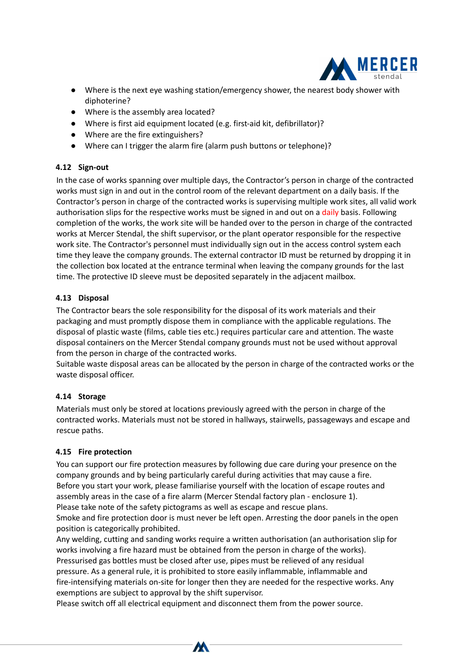

- Where is the next eye washing station/emergency shower, the nearest body shower with diphoterine?
- Where is the assembly area located?
- Where is first aid equipment located (e.g. first-aid kit, defibrillator)?
- Where are the fire extinguishers?
- Where can I trigger the alarm fire (alarm push buttons or telephone)?

## **4.12 Sign-out**

In the case of works spanning over multiple days, the Contractor's person in charge of the contracted works must sign in and out in the control room of the relevant department on a daily basis. If the Contractor's person in charge of the contracted works is supervising multiple work sites, all valid work authorisation slips for the respective works must be signed in and out on a daily basis. Following completion of the works, the work site will be handed over to the person in charge of the contracted works at Mercer Stendal, the shift supervisor, or the plant operator responsible for the respective work site. The Contractor's personnel must individually sign out in the access control system each time they leave the company grounds. The external contractor ID must be returned by dropping it in the collection box located at the entrance terminal when leaving the company grounds for the last time. The protective ID sleeve must be deposited separately in the adjacent mailbox.

## **4.13 Disposal**

The Contractor bears the sole responsibility for the disposal of its work materials and their packaging and must promptly dispose them in compliance with the applicable regulations. The disposal of plastic waste (films, cable ties etc.) requires particular care and attention. The waste disposal containers on the Mercer Stendal company grounds must not be used without approval from the person in charge of the contracted works.

Suitable waste disposal areas can be allocated by the person in charge of the contracted works or the waste disposal officer.

## **4.14 Storage**

Materials must only be stored at locations previously agreed with the person in charge of the contracted works. Materials must not be stored in hallways, stairwells, passageways and escape and rescue paths.

## **4.15 Fire protection**

<u>Page 4 of 12 of 12 of 12 of 12 of</u>

You can support our fire protection measures by following due care during your presence on the company grounds and by being particularly careful during activities that may cause a fire. Before you start your work, please familiarise yourself with the location of escape routes and assembly areas in the case of a fire alarm (Mercer Stendal factory plan - enclosure 1). Please take note of the safety pictograms as well as escape and rescue plans. Smoke and fire protection door is must never be left open. Arresting the door panels in the open

position is categorically prohibited.

Any welding, cutting and sanding works require a written authorisation (an authorisation slip for works involving a fire hazard must be obtained from the person in charge of the works). Pressurised gas bottles must be closed after use, pipes must be relieved of any residual pressure. As a general rule, it is prohibited to store easily inflammable, inflammable and fire-intensifying materials on-site for longer then they are needed for the respective works. Any exemptions are subject to approval by the shift supervisor.

Please switch off all electrical equipment and disconnect them from the power source.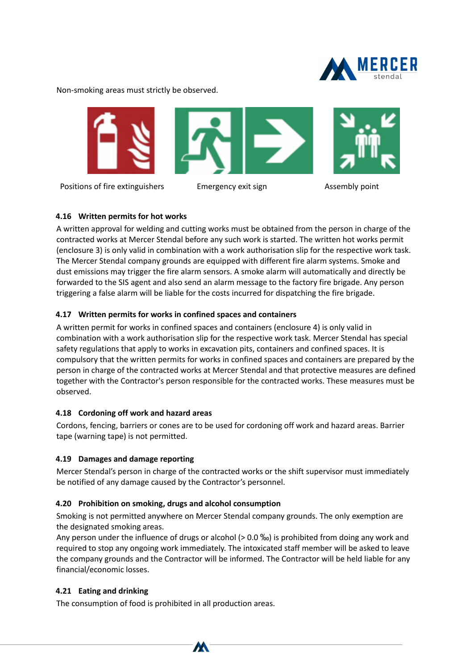

Non-smoking areas must strictly be observed.



Positions of fire extinguishers Emergency exit sign Theorem Assembly point

## **4.16 Written permits for hot works**

A written approval for welding and cutting works must be obtained from the person in charge of the contracted works at Mercer Stendal before any such work is started. The written hot works permit (enclosure 3) is only valid in combination with a work authorisation slip for the respective work task. The Mercer Stendal company grounds are equipped with different fire alarm systems. Smoke and dust emissions may trigger the fire alarm sensors. A smoke alarm will automatically and directly be forwarded to the SIS agent and also send an alarm message to the factory fire brigade. Any person triggering a false alarm will be liable for the costs incurred for dispatching the fire brigade.

## **4.17 Written permits for works in confined spaces and containers**

A written permit for works in confined spaces and containers (enclosure 4) is only valid in combination with a work authorisation slip for the respective work task. Mercer Stendal has special safety regulations that apply to works in excavation pits, containers and confined spaces. It is compulsory that the written permits for works in confined spaces and containers are prepared by the person in charge of the contracted works at Mercer Stendal and that protective measures are defined together with the Contractor's person responsible for the contracted works. These measures must be observed.

## **4.18 Cordoning off work and hazard areas**

Cordons, fencing, barriers or cones are to be used for cordoning off work and hazard areas. Barrier tape (warning tape) is not permitted.

## **4.19 Damages and damage reporting**

Mercer Stendal's person in charge of the contracted works or the shift supervisor must immediately be notified of any damage caused by the Contractor's personnel.

## **4.20 Prohibition on smoking, drugs and alcohol consumption**

Smoking is not permitted anywhere on Mercer Stendal company grounds. The only exemption are the designated smoking areas.

Any person under the influence of drugs or alcohol (> 0.0 \%) is prohibited from doing any work and required to stop any ongoing work immediately. The intoxicated staff member will be asked to leave the company grounds and the Contractor will be informed. The Contractor will be held liable for any financial/economic losses.

## **4.21 Eating and drinking**

<u>Page 12 of 12 of 12 of 12 of 12 of</u>

The consumption of food is prohibited in all production areas.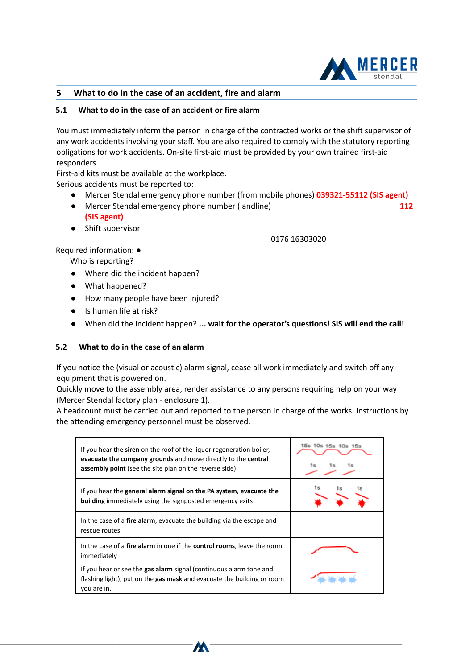

### **5 What to do in the case of an accident, fire and alarm**

### **5.1 What to do in the case of an accident or fire alarm**

You must immediately inform the person in charge of the contracted works or the shift supervisor of any work accidents involving your staff. You are also required to comply with the statutory reporting obligations for work accidents. On-site first-aid must be provided by your own trained first-aid responders.

First-aid kits must be available at the workplace.

Serious accidents must be reported to:

- Mercer Stendal emergency phone number (from mobile phones) **039321-55112 (SIS agent)**
- Mercer Stendal emergency phone number (landline) **112 (SIS agent)**
- Shift supervisor

#### 0176 16303020

Required information: ●

Who is reporting?

- Where did the incident happen?
- What happened?
- How many people have been injured?
- Is human life at risk?

<u>Page 6 of 12 of 12 of 12 of 12 of</u>

● When did the incident happen? **... wait for the operator's questions! SIS will end the call!**

### **5.2 What to do in the case of an alarm**

If you notice the (visual or acoustic) alarm signal, cease all work immediately and switch off any equipment that is powered on.

Quickly move to the assembly area, render assistance to any persons requiring help on your way (Mercer Stendal factory plan - enclosure 1).

A headcount must be carried out and reported to the person in charge of the works. Instructions by the attending emergency personnel must be observed.

| If you hear the siren on the roof of the liquor regeneration boiler,<br>evacuate the company grounds and move directly to the central<br><b>assembly point</b> (see the site plan on the reverse side) | 15s 10s |
|--------------------------------------------------------------------------------------------------------------------------------------------------------------------------------------------------------|---------|
| If you hear the general alarm signal on the PA system, evacuate the<br><b>building</b> immediately using the signposted emergency exits                                                                |         |
| In the case of a <b>fire alarm</b> , evacuate the building via the escape and<br>rescue routes.                                                                                                        |         |
| In the case of a fire alarm in one if the control rooms, leave the room<br>immediately                                                                                                                 |         |
| If you hear or see the gas alarm signal (continuous alarm tone and<br>flashing light), put on the gas mask and evacuate the building or room<br>you are in.                                            |         |

W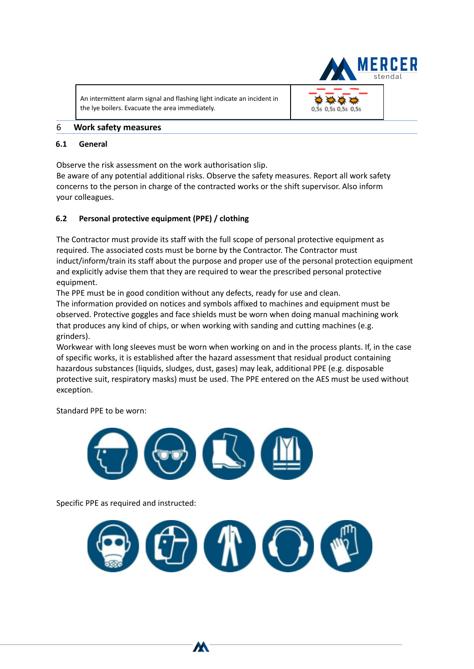An intermittent alarm signal and flashing light indicate an incident in the lye boilers. Evacuate the area immediately.



### 6 **Work safety measures**

### **6.1 General**

Observe the risk assessment on the work authorisation slip.

Be aware of any potential additional risks. Observe the safety measures. Report all work safety concerns to the person in charge of the contracted works or the shift supervisor. Also inform your colleagues.

## **6.2 Personal protective equipment (PPE) / clothing**

The Contractor must provide its staff with the full scope of personal protective equipment as required. The associated costs must be borne by the Contractor. The Contractor must induct/inform/train its staff about the purpose and proper use of the personal protection equipment and explicitly advise them that they are required to wear the prescribed personal protective equipment.

The PPE must be in good condition without any defects, ready for use and clean.

The information provided on notices and symbols affixed to machines and equipment must be observed. Protective goggles and face shields must be worn when doing manual machining work that produces any kind of chips, or when working with sanding and cutting machines (e.g. grinders).

Workwear with long sleeves must be worn when working on and in the process plants. If, in the case of specific works, it is established after the hazard assessment that residual product containing hazardous substances (liquids, sludges, dust, gases) may leak, additional PPE (e.g. disposable protective suit, respiratory masks) must be used. The PPE entered on the AES must be used without exception.

Standard PPE to be worn:



W

Specific PPE as required and instructed:

<u>Page 7 of 12 of 12 of 12 of 12 of 12 of 12 of 12 of 12 of 12 of 12 of 12 of 12 of 12 of 12</u>

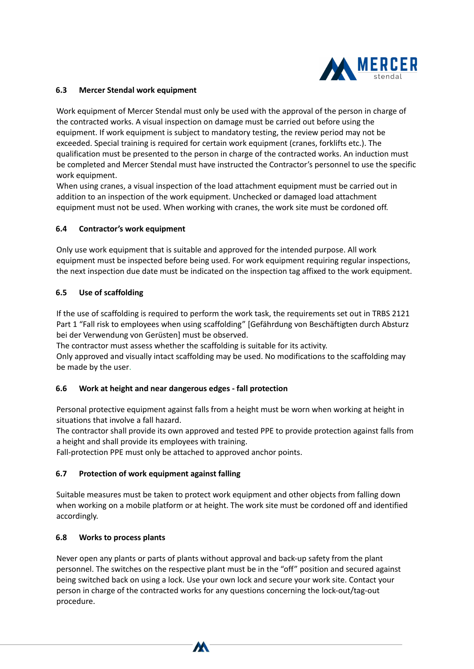

### **6.3 Mercer Stendal work equipment**

Work equipment of Mercer Stendal must only be used with the approval of the person in charge of the contracted works. A visual inspection on damage must be carried out before using the equipment. If work equipment is subject to mandatory testing, the review period may not be exceeded. Special training is required for certain work equipment (cranes, forklifts etc.). The qualification must be presented to the person in charge of the contracted works. An induction must be completed and Mercer Stendal must have instructed the Contractor's personnel to use the specific work equipment.

When using cranes, a visual inspection of the load attachment equipment must be carried out in addition to an inspection of the work equipment. Unchecked or damaged load attachment equipment must not be used. When working with cranes, the work site must be cordoned off.

### **6.4 Contractor's work equipment**

Only use work equipment that is suitable and approved for the intended purpose. All work equipment must be inspected before being used. For work equipment requiring regular inspections, the next inspection due date must be indicated on the inspection tag affixed to the work equipment.

### **6.5 Use of scaffolding**

If the use of scaffolding is required to perform the work task, the requirements set out in TRBS 2121 Part 1 "Fall risk to employees when using scaffolding" [Gefährdung von Beschäftigten durch Absturz bei der Verwendung von Gerüsten] must be observed.

The contractor must assess whether the scaffolding is suitable for its activity.

Only approved and visually intact scaffolding may be used. No modifications to the scaffolding may be made by the user.

### **6.6 Work at height and near dangerous edges - fall protection**

Personal protective equipment against falls from a height must be worn when working at height in situations that involve a fall hazard.

The contractor shall provide its own approved and tested PPE to provide protection against falls from a height and shall provide its employees with training.

Fall-protection PPE must only be attached to approved anchor points.

## **6.7 Protection of work equipment against falling**

Suitable measures must be taken to protect work equipment and other objects from falling down when working on a mobile platform or at height. The work site must be cordoned off and identified accordingly.

### **6.8 Works to process plants**

<u>Page 8 of 12 of 12 of 12 of 12 of 12 of 12 of 12 of 12 of 12 of 12 of 12 of 12 of 12 of 12</u>

Never open any plants or parts of plants without approval and back-up safety from the plant personnel. The switches on the respective plant must be in the "off" position and secured against being switched back on using a lock. Use your own lock and secure your work site. Contact your person in charge of the contracted works for any questions concerning the lock-out/tag-out procedure.

W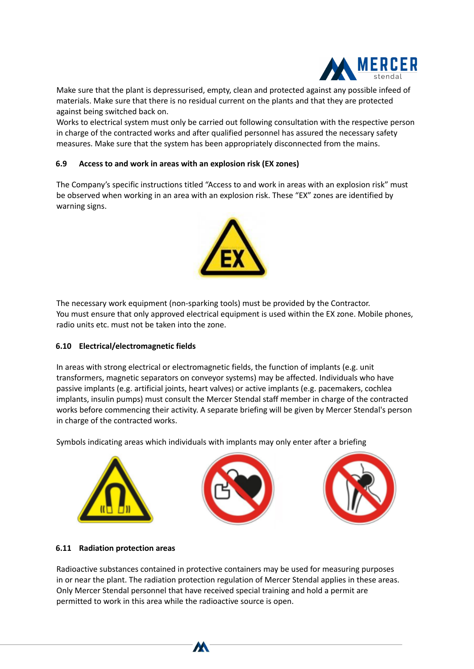

Make sure that the plant is depressurised, empty, clean and protected against any possible infeed of materials. Make sure that there is no residual current on the plants and that they are protected against being switched back on.

Works to electrical system must only be carried out following consultation with the respective person in charge of the contracted works and after qualified personnel has assured the necessary safety measures. Make sure that the system has been appropriately disconnected from the mains.

### **6.9 Access to and work in areas with an explosion risk (EX zones)**

The Company's specific instructions titled "Access to and work in areas with an explosion risk" must be observed when working in an area with an explosion risk. These "EX" zones are identified by warning signs.



The necessary work equipment (non-sparking tools) must be provided by the Contractor. You must ensure that only approved electrical equipment is used within the EX zone. Mobile phones, radio units etc. must not be taken into the zone.

## **6.10 Electrical/electromagnetic fields**

In areas with strong electrical or electromagnetic fields, the function of implants (e.g. unit transformers, magnetic separators on conveyor systems) may be affected. Individuals who have passive implants (e.g. artificial joints, heart valves) or active implants (e.g. pacemakers, cochlea implants, insulin pumps) must consult the Mercer Stendal staff member in charge of the contracted works before commencing their activity. A separate briefing will be given by Mercer Stendal's person in charge of the contracted works.

Symbols indicating areas which individuals with implants may only enter after a briefing



### **6.11 Radiation protection areas**

<u>Page 9 of 12 of 12 of 12 of 12 of 12 of 12 of 12 of 12 of 12 of 12 of 12 of 12 of 12 of 12</u>

Radioactive substances contained in protective containers may be used for measuring purposes in or near the plant. The radiation protection regulation of Mercer Stendal applies in these areas. Only Mercer Stendal personnel that have received special training and hold a permit are permitted to work in this area while the radioactive source is open.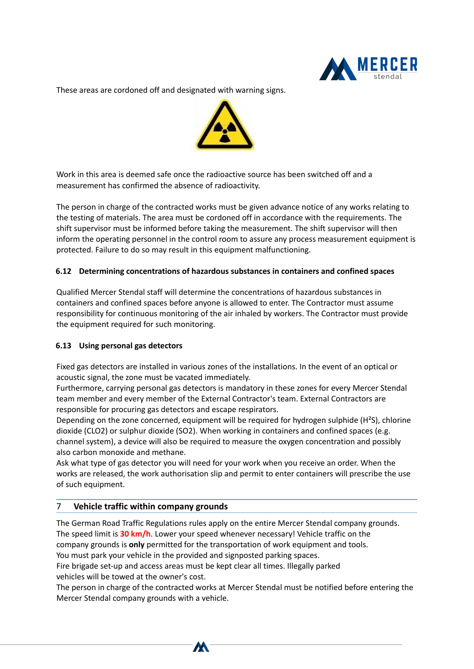

These areas are cordoned off and designated with warning signs.



Work in this area is deemed safe once the radioactive source has been switched off and a measurement has confirmed the absence of radioactivity.

The person in charge of the contracted works must be given advance notice of any works relating to the testing of materials. The area must be cordoned off in accordance with the requirements. The shift supervisor must be informed before taking the measurement. The shift supervisor will then inform the operating personnel in the control room to assure any process measurement equipment is protected. Failure to do so may result in this equipment malfunctioning.

### **6.12 Determining concentrations of hazardous substances in containers and confined spaces**

Qualified Mercer Stendal staff will determine the concentrations of hazardous substances in containers and confined spaces before anyone is allowed to enter. The Contractor must assume responsibility for continuous monitoring of the air inhaled by workers. The Contractor must provide the equipment required for such monitoring.

### **6.13 Using personal gas detectors**

Fixed gas detectors are installed in various zones of the installations. In the event of an optical or acoustic signal, the zone must be vacated immediately.

Furthermore, carrying personal gas detectors is mandatory in these zones for every Mercer Stendal team member and every member of the External Contractor's team. External Contractors are responsible for procuring gas detectors and escape respirators.

Depending on the zone concerned, equipment will be required for hydrogen sulphide (H²S), chlorine dioxide (CLO2) or sulphur dioxide (SO2). When working in containers and confined spaces (e.g. channel system), a device will also be required to measure the oxygen concentration and possibly also carbon monoxide and methane.

Ask what type of gas detector you will need for your work when you receive an order. When the works are released, the work authorisation slip and permit to enter containers will prescribe the use of such equipment.

## 7 **Vehicle traffic within company grounds**

<u>Page 10 of 12 of 12 of 12 of 12 of 12 of 12 of 12 of 12 of 12 of 12 of 12 of 12 of 12 of 12 of 12 of 12 of 12 o</u>

The German Road Traffic Regulations rules apply on the entire Mercer Stendal company grounds. The speed limit is **30 km/h**. Lower your speed whenever necessary! Vehicle traffic on the company grounds is **only** permitted for the transportation of work equipment and tools. You must park your vehicle in the provided and signposted parking spaces. Fire brigade set-up and access areas must be kept clear all times. Illegally parked vehicles will be towed at the owner's cost.

The person in charge of the contracted works at Mercer Stendal must be notified before entering the Mercer Stendal company grounds with a vehicle.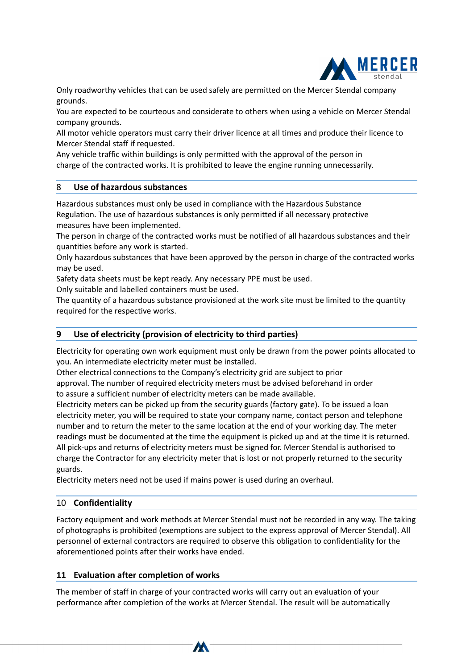

Only roadworthy vehicles that can be used safely are permitted on the Mercer Stendal company grounds.

You are expected to be courteous and considerate to others when using a vehicle on Mercer Stendal company grounds.

All motor vehicle operators must carry their driver licence at all times and produce their licence to Mercer Stendal staff if requested.

Any vehicle traffic within buildings is only permitted with the approval of the person in charge of the contracted works. It is prohibited to leave the engine running unnecessarily.

### 8 **Use of hazardous substances**

Hazardous substances must only be used in compliance with the Hazardous Substance Regulation. The use of hazardous substances is only permitted if all necessary protective measures have been implemented.

The person in charge of the contracted works must be notified of all hazardous substances and their quantities before any work is started.

Only hazardous substances that have been approved by the person in charge of the contracted works may be used.

Safety data sheets must be kept ready. Any necessary PPE must be used.

Only suitable and labelled containers must be used.

The quantity of a hazardous substance provisioned at the work site must be limited to the quantity required for the respective works.

### **9 Use of electricity (provision of electricity to third parties)**

Electricity for operating own work equipment must only be drawn from the power points allocated to you. An intermediate electricity meter must be installed.

Other electrical connections to the Company's electricity grid are subject to prior approval. The number of required electricity meters must be advised beforehand in order

to assure a sufficient number of electricity meters can be made available.

Electricity meters can be picked up from the security guards (factory gate). To be issued a loan electricity meter, you will be required to state your company name, contact person and telephone number and to return the meter to the same location at the end of your working day. The meter readings must be documented at the time the equipment is picked up and at the time it is returned. All pick-ups and returns of electricity meters must be signed for. Mercer Stendal is authorised to charge the Contractor for any electricity meter that is lost or not properly returned to the security guards.

Electricity meters need not be used if mains power is used during an overhaul.

## 10 **Confidentiality**

Factory equipment and work methods at Mercer Stendal must not be recorded in any way. The taking of photographs is prohibited (exemptions are subject to the express approval of Mercer Stendal). All personnel of external contractors are required to observe this obligation to confidentiality for the aforementioned points after their works have ended.

### **11 Evaluation after completion of works**

<u>Page 11 of 12 of 12 of 12 of 12 of 12 of 12 of 12 of 12 of 12 of 12 of 12 of 12 of 12 of 12 of 12 of 12 of 12 o</u>

The member of staff in charge of your contracted works will carry out an evaluation of your performance after completion of the works at Mercer Stendal. The result will be automatically